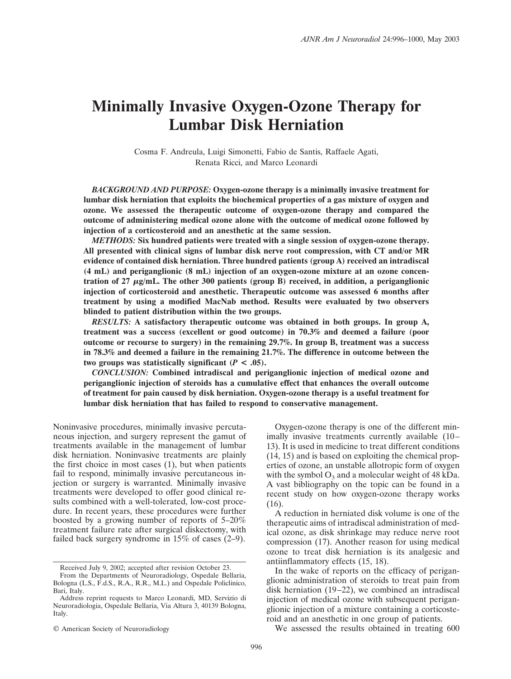# **Minimally Invasive Oxygen-Ozone Therapy for Lumbar Disk Herniation**

Cosma F. Andreula, Luigi Simonetti, Fabio de Santis, Raffaele Agati, Renata Ricci, and Marco Leonardi

*BACKGROUND AND PURPOSE:* **Oxygen-ozone therapy is a minimally invasive treatment for lumbar disk herniation that exploits the biochemical properties of a gas mixture of oxygen and ozone. We assessed the therapeutic outcome of oxygen-ozone therapy and compared the outcome of administering medical ozone alone with the outcome of medical ozone followed by injection of a corticosteroid and an anesthetic at the same session.**

*METHODS:* **Six hundred patients were treated with a single session of oxygen-ozone therapy. All presented with clinical signs of lumbar disk nerve root compression, with CT and/or MR evidence of contained disk herniation. Three hundred patients (group A) received an intradiscal (4 mL) and periganglionic (8 mL) injection of an oxygen-ozone mixture at an ozone concentration of 27**  $\mu$ **g/mL. The other 300 patients (group B) received, in addition, a periganglionic injection of corticosteroid and anesthetic. Therapeutic outcome was assessed 6 months after treatment by using a modified MacNab method. Results were evaluated by two observers blinded to patient distribution within the two groups.**

*RESULTS:* **A satisfactory therapeutic outcome was obtained in both groups. In group A, treatment was a success (excellent or good outcome) in 70.3% and deemed a failure (poor outcome or recourse to surgery) in the remaining 29.7%. In group B, treatment was a success in 78.3% and deemed a failure in the remaining 21.7%. The difference in outcome between the** two groups was statistically significant  $(P < .05)$ .

*CONCLUSION:* **Combined intradiscal and periganglionic injection of medical ozone and periganglionic injection of steroids has a cumulative effect that enhances the overall outcome of treatment for pain caused by disk herniation. Oxygen-ozone therapy is a useful treatment for lumbar disk herniation that has failed to respond to conservative management.**

Noninvasive procedures, minimally invasive percutaneous injection, and surgery represent the gamut of treatments available in the management of lumbar disk herniation. Noninvasive treatments are plainly the first choice in most cases (1), but when patients fail to respond, minimally invasive percutaneous injection or surgery is warranted. Minimally invasive treatments were developed to offer good clinical results combined with a well-tolerated, low-cost procedure. In recent years, these procedures were further boosted by a growing number of reports of 5–20% treatment failure rate after surgical diskectomy, with failed back surgery syndrome in 15% of cases (2–9).

Oxygen-ozone therapy is one of the different minimally invasive treatments currently available (10– 13). It is used in medicine to treat different conditions (14, 15) and is based on exploiting the chemical properties of ozone, an unstable allotropic form of oxygen with the symbol  $O_3$  and a molecular weight of 48 kDa. A vast bibliography on the topic can be found in a recent study on how oxygen-ozone therapy works (16).

A reduction in herniated disk volume is one of the therapeutic aims of intradiscal administration of medical ozone, as disk shrinkage may reduce nerve root compression (17). Another reason for using medical ozone to treat disk herniation is its analgesic and antiinflammatory effects (15, 18).

In the wake of reports on the efficacy of periganglionic administration of steroids to treat pain from disk herniation (19–22), we combined an intradiscal injection of medical ozone with subsequent periganglionic injection of a mixture containing a corticosteroid and an anesthetic in one group of patients.

We assessed the results obtained in treating 600

Received July 9, 2002; accepted after revision October 23.

From the Departments of Neuroradiology, Ospedale Bellaria, Bologna (L.S., F.d.S., R.A., R.R., M.L.) and Ospedale Policlinico, Bari, Italy.

Address reprint requests to Marco Leonardi, MD, Servizio di Neuroradiologia, Ospedale Bellaria, Via Altura 3, 40139 Bologna, Italy.

<sup>©</sup> American Society of Neuroradiology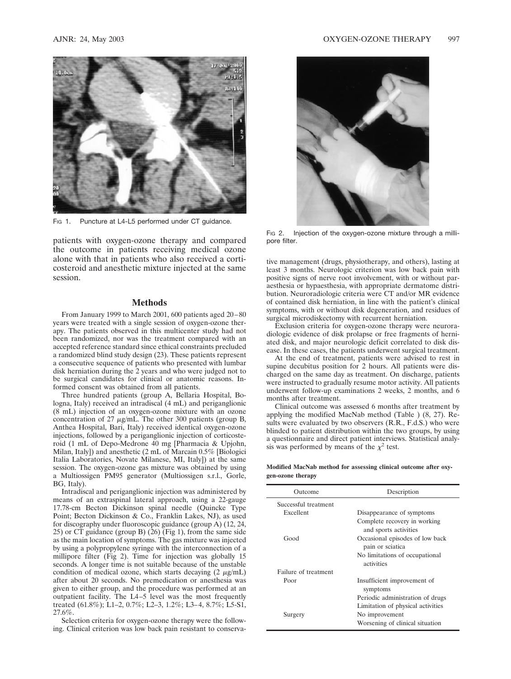

Fig. 1. Puncture at L4-L5 performed under CT guidance.

patients with oxygen-ozone therapy and compared the outcome in patients receiving medical ozone alone with that in patients who also received a corticosteroid and anesthetic mixture injected at the same session.

# **Methods**

From January 1999 to March 2001, 600 patients aged 20–80 years were treated with a single session of oxygen-ozone therapy. The patients observed in this multicenter study had not been randomized, nor was the treatment compared with an accepted reference standard since ethical constraints precluded a randomized blind study design (23). These patients represent a consecutive sequence of patients who presented with lumbar disk herniation during the 2 years and who were judged not to be surgical candidates for clinical or anatomic reasons. Informed consent was obtained from all patients.

Three hundred patients (group A, Bellaria Hospital, Bologna, Italy) received an intradiscal (4 mL) and periganglionic (8 mL) injection of an oxygen-ozone mixture with an ozone concentration of 27  $\mu$ g/mL. The other 300 patients (group B, Anthea Hospital, Bari, Italy) received identical oxygen-ozone injections, followed by a periganglionic injection of corticosteroid (1 mL of Depo-Medrone 40 mg [Pharmacia & Upjohn, Milan, Italy]) and anesthetic (2 mL of Marcain 0.5% [Biologici Italia Laboratories, Novate Milanese, MI, Italy]) at the same session. The oxygen-ozone gas mixture was obtained by using a Multiossigen PM95 generator (Multiossigen s.r.l., Gorle, BG, Italy).

Intradiscal and periganglionic injection was administered by means of an extraspinal lateral approach, using a 22-gauge 17.78-cm Becton Dickinson spinal needle (Quincke Type Point; Becton Dickinson & Co., Franklin Lakes, NJ), as used for discography under fluoroscopic guidance (group A) (12, 24, 25) or CT guidance (group B) (26) (Fig 1), from the same side as the main location of symptoms. The gas mixture was injected by using a polypropylene syringe with the interconnection of a millipore filter (Fig 2). Time for injection was globally 15 seconds. A longer time is not suitable because of the unstable condition of medical ozone, which starts decaying  $(2 \mu g/mL)$ after about 20 seconds. No premedication or anesthesia was given to either group, and the procedure was performed at an outpatient facility. The L4–5 level was the most frequently treated (61.8%); L1–2, 0.7%; L2–3, 1.2%; L3–4, 8.7%; L5-S1, 27.6%.

Selection criteria for oxygen-ozone therapy were the following. Clinical criterion was low back pain resistant to conserva-



Fig 2. Injection of the oxygen-ozone mixture through a millipore filter.

tive management (drugs, physiotherapy, and others), lasting at least 3 months. Neurologic criterion was low back pain with positive signs of nerve root involvement, with or without paraesthesia or hypaesthesia, with appropriate dermatome distribution. Neuroradiologic criteria were CT and/or MR evidence of contained disk herniation, in line with the patient's clinical symptoms, with or without disk degeneration, and residues of surgical microdiskectomy with recurrent herniation.

Exclusion criteria for oxygen-ozone therapy were neuroradiologic evidence of disk prolapse or free fragments of herniated disk, and major neurologic deficit correlated to disk disease. In these cases, the patients underwent surgical treatment.

At the end of treatment, patients were advised to rest in supine decubitus position for 2 hours. All patients were discharged on the same day as treatment. On discharge, patients were instructed to gradually resume motor activity. All patients underwent follow-up examinations 2 weeks, 2 months, and 6 months after treatment.

Clinical outcome was assessed 6 months after treatment by applying the modified MacNab method (Table ) (8, 27). Results were evaluated by two observers (R.R., F.d.S.) who were blinded to patient distribution within the two groups, by using a questionnaire and direct patient interviews. Statistical analysis was performed by means of the  $\chi^2$  test.

#### **Modified MacNab method for assessing clinical outcome after oxygen-ozone therapy**

| Outcome              | Description                                           |
|----------------------|-------------------------------------------------------|
| Successful treatment |                                                       |
| Excellent            | Disappearance of symptoms                             |
|                      | Complete recovery in working<br>and sports activities |
| Good                 | Occasional episodes of low back<br>pain or sciatica   |
|                      | No limitations of occupational<br>activities          |
| Failure of treatment |                                                       |
| Poor                 | Insufficient improvement of<br>symptoms               |
|                      | Periodic administration of drugs                      |
|                      | Limitation of physical activities                     |
| Surgery              | No improvement                                        |
|                      | Worsening of clinical situation                       |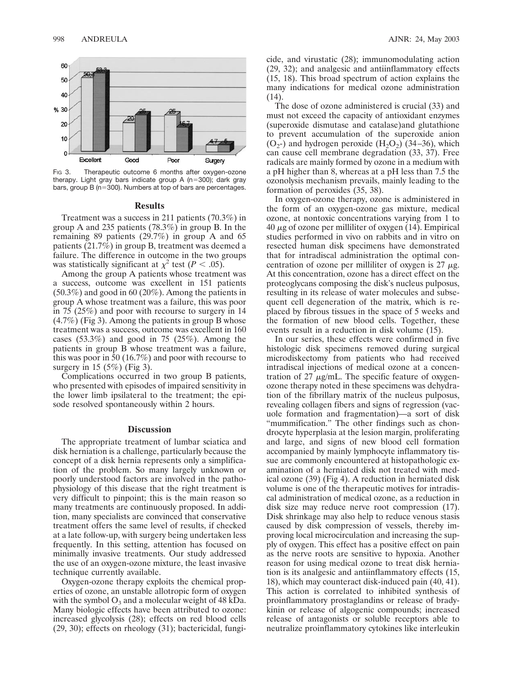

Fig 3. Therapeutic outcome 6 months after oxygen-ozone therapy. Light gray bars indicate group A (n=300); dark gray bars, group B (n=300). Numbers at top of bars are percentages.

#### **Results**

Treatment was a success in 211 patients (70.3%) in group A and 235 patients (78.3%) in group B. In the remaining 89 patients (29.7%) in group A and 65 patients (21.7%) in group B, treatment was deemed a failure. The difference in outcome in the two groups was statistically significant at  $\chi^2$  test (*P* < .05).

Among the group A patients whose treatment was a success, outcome was excellent in 151 patients (50.3%) and good in 60 (20%). Among the patients in group A whose treatment was a failure, this was poor in 75 (25%) and poor with recourse to surgery in 14  $(4.7\%)$  (Fig 3). Among the patients in group B whose treatment was a success, outcome was excellent in 160 cases  $(53.3\%)$  and good in 75  $(25\%)$ . Among the patients in group B whose treatment was a failure, this was poor in 50 (16.7%) and poor with recourse to surgery in 15 (5%) (Fig 3).

Complications occurred in two group B patients, who presented with episodes of impaired sensitivity in the lower limb ipsilateral to the treatment; the episode resolved spontaneously within 2 hours.

### **Discussion**

The appropriate treatment of lumbar sciatica and disk herniation is a challenge, particularly because the concept of a disk hernia represents only a simplification of the problem. So many largely unknown or poorly understood factors are involved in the pathophysiology of this disease that the right treatment is very difficult to pinpoint; this is the main reason so many treatments are continuously proposed. In addition, many specialists are convinced that conservative treatment offers the same level of results, if checked at a late follow-up, with surgery being undertaken less frequently. In this setting, attention has focused on minimally invasive treatments. Our study addressed the use of an oxygen-ozone mixture, the least invasive technique currently available.

Oxygen-ozone therapy exploits the chemical properties of ozone, an unstable allotropic form of oxygen with the symbol  $O_3$  and a molecular weight of 48 kDa. Many biologic effects have been attributed to ozone: increased glycolysis (28); effects on red blood cells (29, 30); effects on rheology (31); bactericidal, fungicide, and virustatic (28); immunomodulating action (29, 32); and analgesic and antiinflammatory effects (15, 18). This broad spectrum of action explains the many indications for medical ozone administration (14).

The dose of ozone administered is crucial (33) and must not exceed the capacity of antioxidant enzymes (superoxide dismutase and catalase)and glutathione to prevent accumulation of the superoxide anion  $(O<sub>2</sub>)$  and hydrogen peroxide  $(H<sub>2</sub>O<sub>2</sub>)$  (34–36), which can cause cell membrane degradation (33, 37). Free radicals are mainly formed by ozone in a medium with a pH higher than 8, whereas at a pH less than 7.5 the ozonolysis mechanism prevails, mainly leading to the formation of peroxides (35, 38).

In oxygen-ozone therapy, ozone is administered in the form of an oxygen-ozone gas mixture, medical ozone, at nontoxic concentrations varying from 1 to  $40 \mu$ g of ozone per milliliter of oxygen (14). Empirical studies performed in vivo on rabbits and in vitro on resected human disk specimens have demonstrated that for intradiscal administration the optimal concentration of ozone per milliliter of oxygen is  $27 \mu$ g. At this concentration, ozone has a direct effect on the proteoglycans composing the disk's nucleus pulposus, resulting in its release of water molecules and subsequent cell degeneration of the matrix, which is replaced by fibrous tissues in the space of 5 weeks and the formation of new blood cells. Together, these events result in a reduction in disk volume (15).

In our series, these effects were confirmed in five histologic disk specimens removed during surgical microdiskectomy from patients who had received intradiscal injections of medical ozone at a concentration of 27  $\mu$ g/mL. The specific feature of oxygenozone therapy noted in these specimens was dehydration of the fibrillary matrix of the nucleus pulposus, revealing collagen fibers and signs of regression (vacuole formation and fragmentation)—a sort of disk "mummification." The other findings such as chondrocyte hyperplasia at the lesion margin, proliferating and large, and signs of new blood cell formation accompanied by mainly lymphocyte inflammatory tissue are commonly encountered at histopathologic examination of a herniated disk not treated with medical ozone (39) (Fig 4). A reduction in herniated disk volume is one of the therapeutic motives for intradiscal administration of medical ozone, as a reduction in disk size may reduce nerve root compression (17). Disk shrinkage may also help to reduce venous stasis caused by disk compression of vessels, thereby improving local microcirculation and increasing the supply of oxygen. This effect has a positive effect on pain as the nerve roots are sensitive to hypoxia. Another reason for using medical ozone to treat disk herniation is its analgesic and antiinflammatory effects (15, 18), which may counteract disk-induced pain (40, 41). This action is correlated to inhibited synthesis of proinflammatory prostaglandins or release of bradykinin or release of algogenic compounds; increased release of antagonists or soluble receptors able to neutralize proinflammatory cytokines like interleukin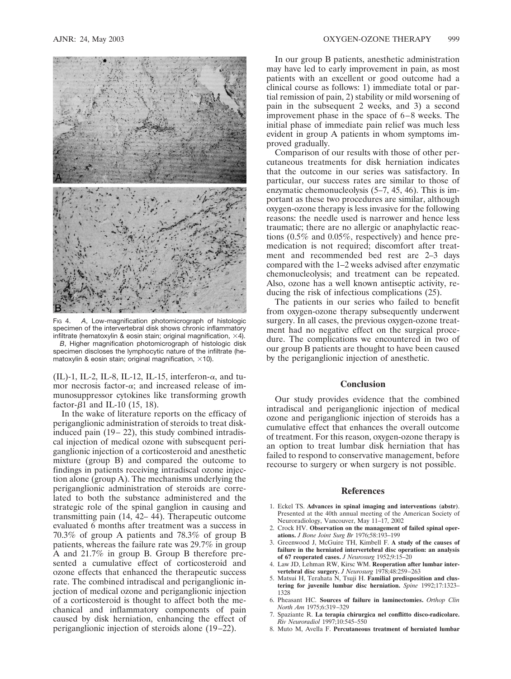

FIG 4. A, Low-magnification photomicrograph of histologic specimen of the intervertebral disk shows chronic inflammatory infiltrate (hematoxylin & eosin stain; original magnification,  $\times$ 4). *B*, Higher magnification photomicrograph of histologic disk

specimen discloses the lymphocytic nature of the infiltrate (hematoxylin & eosin stain; original magnification,  $\times$ 10).

(IL)-1, IL-2, IL-8, IL-12, IL-15, interferon- $\alpha$ , and tumor necrosis factor- $\alpha$ ; and increased release of immunosuppressor cytokines like transforming growth factor- $\beta$ 1 and IL-10 (15, 18).

In the wake of literature reports on the efficacy of periganglionic administration of steroids to treat diskinduced pain (19– 22), this study combined intradiscal injection of medical ozone with subsequent periganglionic injection of a corticosteroid and anesthetic mixture (group B) and compared the outcome to findings in patients receiving intradiscal ozone injection alone (group A). The mechanisms underlying the periganglionic administration of steroids are correlated to both the substance administered and the strategic role of the spinal ganglion in causing and transmitting pain (14, 42– 44). Therapeutic outcome evaluated 6 months after treatment was a success in 70.3% of group A patients and 78.3% of group B patients, whereas the failure rate was 29.7% in group A and 21.7% in group B. Group B therefore presented a cumulative effect of corticosteroid and ozone effects that enhanced the therapeutic success rate. The combined intradiscal and periganglionic injection of medical ozone and periganglionic injection of a corticosteroid is thought to affect both the mechanical and inflammatory components of pain caused by disk herniation, enhancing the effect of periganglionic injection of steroids alone (19–22).

In our group B patients, anesthetic administration may have led to early improvement in pain, as most patients with an excellent or good outcome had a clinical course as follows: 1) immediate total or partial remission of pain, 2) stability or mild worsening of pain in the subsequent 2 weeks, and 3) a second improvement phase in the space of 6–8 weeks. The initial phase of immediate pain relief was much less evident in group A patients in whom symptoms improved gradually.

Comparison of our results with those of other percutaneous treatments for disk herniation indicates that the outcome in our series was satisfactory. In particular, our success rates are similar to those of enzymatic chemonucleolysis (5–7, 45, 46). This is important as these two procedures are similar, although oxygen-ozone therapy is less invasive for the following reasons: the needle used is narrower and hence less traumatic; there are no allergic or anaphylactic reactions (0.5% and 0.05%, respectively) and hence premedication is not required; discomfort after treatment and recommended bed rest are 2–3 days compared with the 1–2 weeks advised after enzymatic chemonucleolysis; and treatment can be repeated. Also, ozone has a well known antiseptic activity, reducing the risk of infectious complications (25).

The patients in our series who failed to benefit from oxygen-ozone therapy subsequently underwent surgery. In all cases, the previous oxygen-ozone treatment had no negative effect on the surgical procedure. The complications we encountered in two of our group B patients are thought to have been caused by the periganglionic injection of anesthetic.

# **Conclusion**

Our study provides evidence that the combined intradiscal and periganglionic injection of medical ozone and periganglionic injection of steroids has a cumulative effect that enhances the overall outcome of treatment. For this reason, oxygen-ozone therapy is an option to treat lumbar disk herniation that has failed to respond to conservative management, before recourse to surgery or when surgery is not possible.

## **References**

- 1. Eckel TS. **Advances in spinal imaging and interventions (abstr)**. Presented at the 40th annual meeting of the American Society of Neuroradiology, Vancouver, May 11–17, 2002
- 2. Crock HV. **Observation on the management of failed spinal operations.** *J Bone Joint Surg Br* 1976;58:193–199
- 3. Greenwood J, McGuire TH, Kimbell F. **A study of the causes of failure in the herniated intervertebral disc operation: an analysis of 67 reoperated cases.** *J Neurosurg* 1952;9:15–20
- 4. Law JD, Lehman RW, Kirsc WM. **Reoperation after lumbar intervertebral disc surgery.** *J Neurosurg* 1978;48:259–263
- 5. Matsui H, Terahata N, Tsuji H. **Familial predisposition and clustering for juvenile lumbar disc herniation.** *Spine* 1992;17:1323– 1328
- 6. Pheasant HC. **Sources of failure in laminectomies.** *Orthop Clin North Am* 1975;6:319–329
- 7. Spaziante R. **La terapia chirurgica nel conflitto disco-radicolare.** *Riv Neuroradiol* 1997;10:545–550
- 8. Muto M, Avella F. **Percutaneous treatment of herniated lumbar**